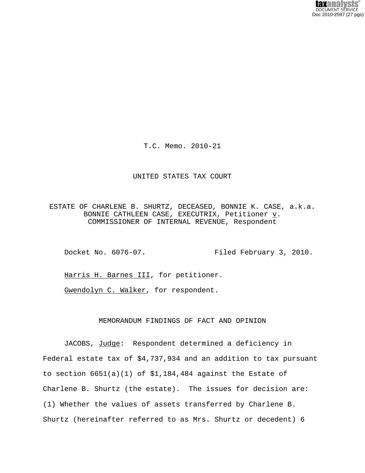T.C. Memo. 2010-21

#### UNITED STATES TAX COURT

ESTATE OF CHARLENE B. SHURTZ, DECEASED, BONNIE K. CASE, a.k.a. BONNIE CATHLEEN CASE, EXECUTRIX, Petitioner  $\underline{v}$ . COMMISSIONER OF INTERNAL REVENUE, Respondent

Docket No. 6076-07. Filed February 3, 2010.

Harris H. Barnes III, for petitioner.

Gwendolyn C. Walker, for respondent.

## MEMORANDUM FINDINGS OF FACT AND OPINION

JACOBS, Judge: Respondent determined a deficiency in Federal estate tax of \$4,737,934 and an addition to tax pursuant to section 6651(a)(1) of \$1,184,484 against the Estate of Charlene B. Shurtz (the estate). The issues for decision are: (1) Whether the values of assets transferred by Charlene B. Shurtz (hereinafter referred to as Mrs. Shurtz or decedent) 6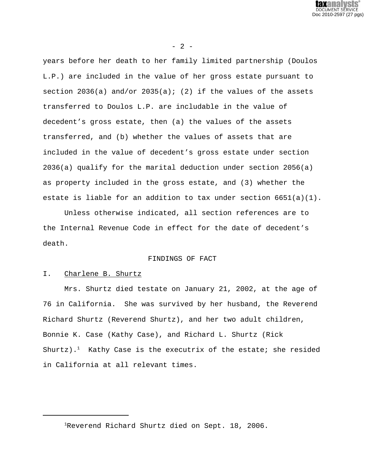

 $- 2 -$ 

years before her death to her family limited partnership (Doulos L.P.) are included in the value of her gross estate pursuant to section 2036(a) and/or 2035(a); (2) if the values of the assets transferred to Doulos L.P. are includable in the value of decedent's gross estate, then (a) the values of the assets transferred, and (b) whether the values of assets that are included in the value of decedent's gross estate under section 2036(a) qualify for the marital deduction under section 2056(a) as property included in the gross estate, and (3) whether the estate is liable for an addition to tax under section  $6651(a)(1)$ .

Unless otherwise indicated, all section references are to the Internal Revenue Code in effect for the date of decedent's death.

### FINDINGS OF FACT

#### I. Charlene B. Shurtz

Mrs. Shurtz died testate on January 21, 2002, at the age of 76 in California. She was survived by her husband, the Reverend Richard Shurtz (Reverend Shurtz), and her two adult children, Bonnie K. Case (Kathy Case), and Richard L. Shurtz (Rick Shurtz).<sup>1</sup> Kathy Case is the executrix of the estate; she resided in California at all relevant times.

<sup>&</sup>lt;sup>1</sup>Reverend Richard Shurtz died on Sept. 18, 2006.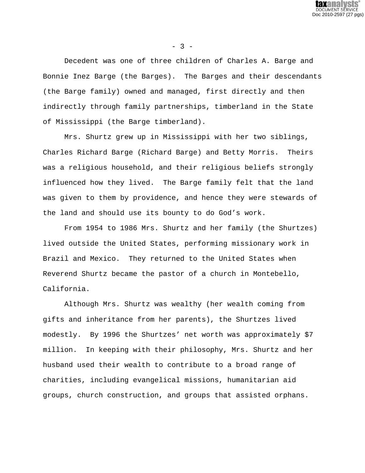

 $- 3 -$ 

Decedent was one of three children of Charles A. Barge and Bonnie Inez Barge (the Barges). The Barges and their descendants (the Barge family) owned and managed, first directly and then indirectly through family partnerships, timberland in the State of Mississippi (the Barge timberland).

Mrs. Shurtz grew up in Mississippi with her two siblings, Charles Richard Barge (Richard Barge) and Betty Morris. Theirs was a religious household, and their religious beliefs strongly influenced how they lived. The Barge family felt that the land was given to them by providence, and hence they were stewards of the land and should use its bounty to do God's work.

From 1954 to 1986 Mrs. Shurtz and her family (the Shurtzes) lived outside the United States, performing missionary work in Brazil and Mexico. They returned to the United States when Reverend Shurtz became the pastor of a church in Montebello, California.

Although Mrs. Shurtz was wealthy (her wealth coming from gifts and inheritance from her parents), the Shurtzes lived modestly. By 1996 the Shurtzes' net worth was approximately \$7 million. In keeping with their philosophy, Mrs. Shurtz and her husband used their wealth to contribute to a broad range of charities, including evangelical missions, humanitarian aid groups, church construction, and groups that assisted orphans.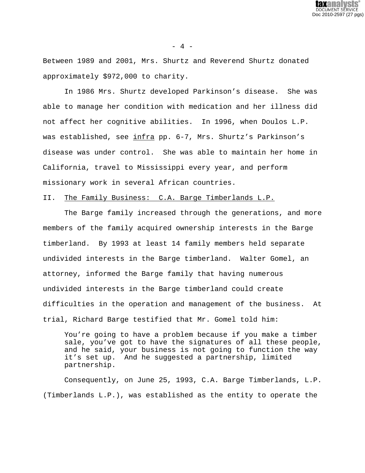

 $- 4 -$ 

Between 1989 and 2001, Mrs. Shurtz and Reverend Shurtz donated approximately \$972,000 to charity.

In 1986 Mrs. Shurtz developed Parkinson's disease. She was able to manage her condition with medication and her illness did not affect her cognitive abilities. In 1996, when Doulos L.P. was established, see infra pp. 6-7, Mrs. Shurtz's Parkinson's disease was under control. She was able to maintain her home in California, travel to Mississippi every year, and perform missionary work in several African countries.

# II. The Family Business: C.A. Barge Timberlands L.P.

The Barge family increased through the generations, and more members of the family acquired ownership interests in the Barge timberland. By 1993 at least 14 family members held separate undivided interests in the Barge timberland. Walter Gomel, an attorney, informed the Barge family that having numerous undivided interests in the Barge timberland could create difficulties in the operation and management of the business. At trial, Richard Barge testified that Mr. Gomel told him:

You're going to have a problem because if you make a timber sale, you've got to have the signatures of all these people, and he said, your business is not going to function the way it's set up. And he suggested a partnership, limited partnership.

Consequently, on June 25, 1993, C.A. Barge Timberlands, L.P. (Timberlands L.P.), was established as the entity to operate the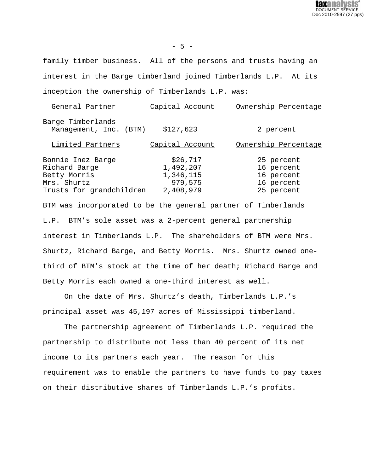DOCUMENT SERVICE Doc 2010-2597 (27 pgs)

family timber business. All of the persons and trusts having an interest in the Barge timberland joined Timberlands L.P. At its inception the ownership of Timberlands L.P. was:

| General Partner                             | Capital Account | Ownership Percentage |
|---------------------------------------------|-----------------|----------------------|
| Barge Timberlands<br>Management, Inc. (BTM) | \$127,623       | 2 percent            |
| Limited Partners                            | Capital Account | Ownership Percentage |
| Bonnie Inez Barge                           | \$26,717        | 25 percent           |
| Richard Barge                               | 1,492,207       | 16 percent           |
| Betty Morris                                | 1,346,115       | 16 percent           |
| Mrs. Shurtz                                 | 979,575         | 16 percent           |
| Trusts for grandchildren                    | 2,408,979       | 25 percent           |

BTM was incorporated to be the general partner of Timberlands L.P. BTM's sole asset was a 2-percent general partnership interest in Timberlands L.P. The shareholders of BTM were Mrs. Shurtz, Richard Barge, and Betty Morris. Mrs. Shurtz owned onethird of BTM's stock at the time of her death; Richard Barge and Betty Morris each owned a one-third interest as well.

On the date of Mrs. Shurtz's death, Timberlands L.P.'s principal asset was 45,197 acres of Mississippi timberland.

The partnership agreement of Timberlands L.P. required the partnership to distribute not less than 40 percent of its net income to its partners each year. The reason for this requirement was to enable the partners to have funds to pay taxes on their distributive shares of Timberlands L.P.'s profits.

- 5 -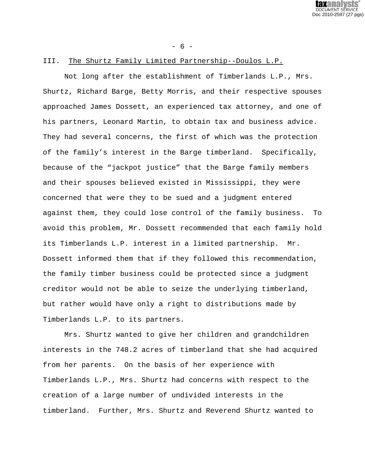DOCUMENT SERVICE Doc 2010-2597 (27 pgs)

#### - 6 -

# III. The Shurtz Family Limited Partnership--Doulos L.P.

Not long after the establishment of Timberlands L.P., Mrs. Shurtz, Richard Barge, Betty Morris, and their respective spouses approached James Dossett, an experienced tax attorney, and one of his partners, Leonard Martin, to obtain tax and business advice. They had several concerns, the first of which was the protection of the family's interest in the Barge timberland. Specifically, because of the "jackpot justice" that the Barge family members and their spouses believed existed in Mississippi, they were concerned that were they to be sued and a judgment entered against them, they could lose control of the family business. To avoid this problem, Mr. Dossett recommended that each family hold its Timberlands L.P. interest in a limited partnership. Mr. Dossett informed them that if they followed this recommendation, the family timber business could be protected since a judgment creditor would not be able to seize the underlying timberland, but rather would have only a right to distributions made by Timberlands L.P. to its partners.

Mrs. Shurtz wanted to give her children and grandchildren interests in the 748.2 acres of timberland that she had acquired from her parents. On the basis of her experience with Timberlands L.P., Mrs. Shurtz had concerns with respect to the creation of a large number of undivided interests in the timberland. Further, Mrs. Shurtz and Reverend Shurtz wanted to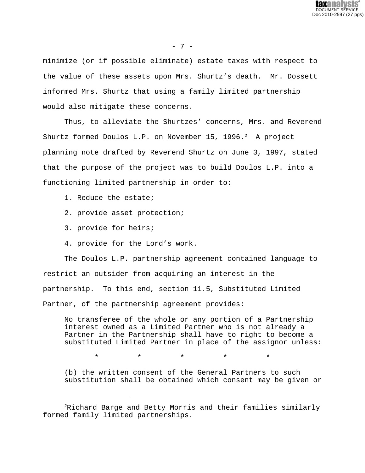

- 7 -

minimize (or if possible eliminate) estate taxes with respect to the value of these assets upon Mrs. Shurtz's death. Mr. Dossett informed Mrs. Shurtz that using a family limited partnership would also mitigate these concerns.

Thus, to alleviate the Shurtzes' concerns, Mrs. and Reverend Shurtz formed Doulos L.P. on November 15, 1996. $^2$  A project planning note drafted by Reverend Shurtz on June 3, 1997, stated that the purpose of the project was to build Doulos L.P. into a functioning limited partnership in order to:

- 1. Reduce the estate;
- 2. provide asset protection;
- 3. provide for heirs;
- 4. provide for the Lord's work.

The Doulos L.P. partnership agreement contained language to restrict an outsider from acquiring an interest in the partnership. To this end, section 11.5, Substituted Limited Partner, of the partnership agreement provides:

No transferee of the whole or any portion of a Partnership interest owned as a Limited Partner who is not already a Partner in the Partnership shall have to right to become a substituted Limited Partner in place of the assignor unless:

\* \* \* \* \*

(b) the written consent of the General Partners to such substitution shall be obtained which consent may be given or

 ${}^{2}$ Richard Barge and Betty Morris and their families similarly formed family limited partnerships.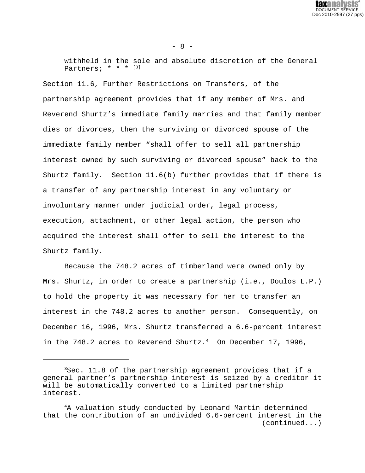

 $- 8 -$ 

withheld in the sole and absolute discretion of the General Partners;  $* * * [3]$ 

Section 11.6, Further Restrictions on Transfers, of the partnership agreement provides that if any member of Mrs. and Reverend Shurtz's immediate family marries and that family member dies or divorces, then the surviving or divorced spouse of the immediate family member "shall offer to sell all partnership interest owned by such surviving or divorced spouse" back to the Shurtz family. Section 11.6(b) further provides that if there is a transfer of any partnership interest in any voluntary or involuntary manner under judicial order, legal process, execution, attachment, or other legal action, the person who acquired the interest shall offer to sell the interest to the Shurtz family.

Because the 748.2 acres of timberland were owned only by Mrs. Shurtz, in order to create a partnership (i.e., Doulos L.P.) to hold the property it was necessary for her to transfer an interest in the 748.2 acres to another person. Consequently, on December 16, 1996, Mrs. Shurtz transferred a 6.6-percent interest in the 748.2 acres to Reverend Shurtz. $4$  On December 17, 1996,

<sup>3</sup>Sec. 11.8 of the partnership agreement provides that if a general partner's partnership interest is seized by a creditor it will be automatically converted to a limited partnership interest.

<sup>4</sup>A valuation study conducted by Leonard Martin determined that the contribution of an undivided 6.6-percent interest in the (continued...)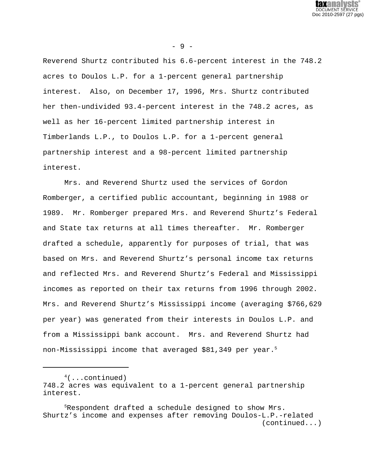

- 9 -

Reverend Shurtz contributed his 6.6-percent interest in the 748.2 acres to Doulos L.P. for a 1-percent general partnership interest. Also, on December 17, 1996, Mrs. Shurtz contributed her then-undivided 93.4-percent interest in the 748.2 acres, as well as her 16-percent limited partnership interest in Timberlands L.P., to Doulos L.P. for a 1-percent general partnership interest and a 98-percent limited partnership interest.

Mrs. and Reverend Shurtz used the services of Gordon Romberger, a certified public accountant, beginning in 1988 or 1989. Mr. Romberger prepared Mrs. and Reverend Shurtz's Federal and State tax returns at all times thereafter. Mr. Romberger drafted a schedule, apparently for purposes of trial, that was based on Mrs. and Reverend Shurtz's personal income tax returns and reflected Mrs. and Reverend Shurtz's Federal and Mississippi incomes as reported on their tax returns from 1996 through 2002. Mrs. and Reverend Shurtz's Mississippi income (averaging \$766,629 per year) was generated from their interests in Doulos L.P. and from a Mississippi bank account. Mrs. and Reverend Shurtz had non-Mississippi income that averaged \$81,349 per year.<sup>5</sup>

 $4($ ...continued) 748.2 acres was equivalent to a 1-percent general partnership interest.

<sup>5</sup>Respondent drafted a schedule designed to show Mrs. Shurtz's income and expenses after removing Doulos-L.P.-related (continued...)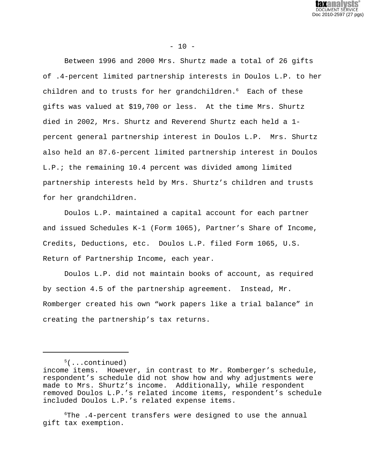

 $- 10 -$ 

Between 1996 and 2000 Mrs. Shurtz made a total of 26 gifts of .4-percent limited partnership interests in Doulos L.P. to her children and to trusts for her grandchildren.<sup>6</sup> Each of these gifts was valued at \$19,700 or less. At the time Mrs. Shurtz died in 2002, Mrs. Shurtz and Reverend Shurtz each held a 1 percent general partnership interest in Doulos L.P. Mrs. Shurtz also held an 87.6-percent limited partnership interest in Doulos L.P.; the remaining 10.4 percent was divided among limited partnership interests held by Mrs. Shurtz's children and trusts for her grandchildren.

Doulos L.P. maintained a capital account for each partner and issued Schedules K-1 (Form 1065), Partner's Share of Income, Credits, Deductions, etc. Doulos L.P. filed Form 1065, U.S. Return of Partnership Income, each year.

Doulos L.P. did not maintain books of account, as required by section 4.5 of the partnership agreement. Instead, Mr. Romberger created his own "work papers like a trial balance" in creating the partnership's tax returns.

 $5($ ...continued)

income items. However, in contrast to Mr. Romberger's schedule, respondent's schedule did not show how and why adjustments were made to Mrs. Shurtz's income. Additionally, while respondent removed Doulos L.P.'s related income items, respondent's schedule included Doulos L.P.'s related expense items.

<sup>6</sup>The .4-percent transfers were designed to use the annual gift tax exemption.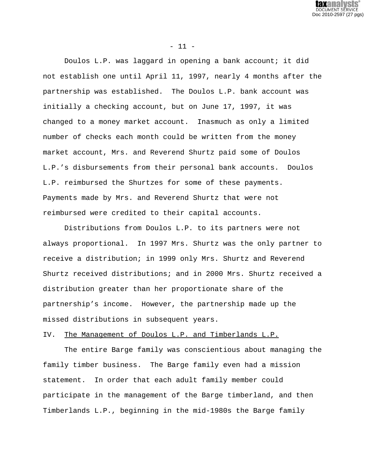

 $- 11 -$ 

Doulos L.P. was laggard in opening a bank account; it did not establish one until April 11, 1997, nearly 4 months after the partnership was established. The Doulos L.P. bank account was initially a checking account, but on June 17, 1997, it was changed to a money market account. Inasmuch as only a limited number of checks each month could be written from the money market account, Mrs. and Reverend Shurtz paid some of Doulos L.P.'s disbursements from their personal bank accounts. Doulos L.P. reimbursed the Shurtzes for some of these payments. Payments made by Mrs. and Reverend Shurtz that were not reimbursed were credited to their capital accounts.

Distributions from Doulos L.P. to its partners were not always proportional. In 1997 Mrs. Shurtz was the only partner to receive a distribution; in 1999 only Mrs. Shurtz and Reverend Shurtz received distributions; and in 2000 Mrs. Shurtz received a distribution greater than her proportionate share of the partnership's income. However, the partnership made up the missed distributions in subsequent years.

## IV. The Management of Doulos L.P. and Timberlands L.P.

The entire Barge family was conscientious about managing the family timber business. The Barge family even had a mission statement. In order that each adult family member could participate in the management of the Barge timberland, and then Timberlands L.P., beginning in the mid-1980s the Barge family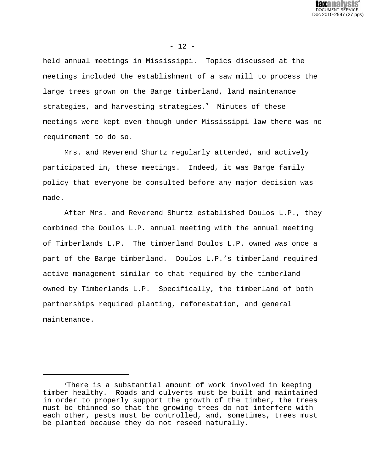

 $- 12 -$ 

held annual meetings in Mississippi. Topics discussed at the meetings included the establishment of a saw mill to process the large trees grown on the Barge timberland, land maintenance strategies, and harvesting strategies.<sup>7</sup> Minutes of these meetings were kept even though under Mississippi law there was no requirement to do so.

Mrs. and Reverend Shurtz regularly attended, and actively participated in, these meetings. Indeed, it was Barge family policy that everyone be consulted before any major decision was made.

After Mrs. and Reverend Shurtz established Doulos L.P., they combined the Doulos L.P. annual meeting with the annual meeting of Timberlands L.P. The timberland Doulos L.P. owned was once a part of the Barge timberland. Doulos L.P.'s timberland required active management similar to that required by the timberland owned by Timberlands L.P. Specifically, the timberland of both partnerships required planting, reforestation, and general maintenance.

 $7$ There is a substantial amount of work involved in keeping timber healthy. Roads and culverts must be built and maintained in order to properly support the growth of the timber, the trees must be thinned so that the growing trees do not interfere with each other, pests must be controlled, and, sometimes, trees must be planted because they do not reseed naturally.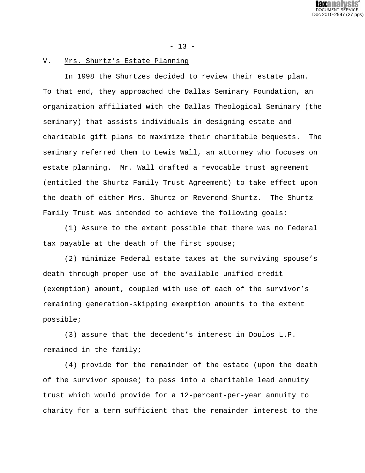DOCUMENT SERVICE Doc 2010-2597 (27 pgs)

 $- 13 -$ 

# V. Mrs. Shurtz's Estate Planning

In 1998 the Shurtzes decided to review their estate plan. To that end, they approached the Dallas Seminary Foundation, an organization affiliated with the Dallas Theological Seminary (the seminary) that assists individuals in designing estate and charitable gift plans to maximize their charitable bequests. The seminary referred them to Lewis Wall, an attorney who focuses on estate planning. Mr. Wall drafted a revocable trust agreement (entitled the Shurtz Family Trust Agreement) to take effect upon the death of either Mrs. Shurtz or Reverend Shurtz. The Shurtz Family Trust was intended to achieve the following goals:

(1) Assure to the extent possible that there was no Federal tax payable at the death of the first spouse;

(2) minimize Federal estate taxes at the surviving spouse's death through proper use of the available unified credit (exemption) amount, coupled with use of each of the survivor's remaining generation-skipping exemption amounts to the extent possible;

(3) assure that the decedent's interest in Doulos L.P. remained in the family;

(4) provide for the remainder of the estate (upon the death of the survivor spouse) to pass into a charitable lead annuity trust which would provide for a 12-percent-per-year annuity to charity for a term sufficient that the remainder interest to the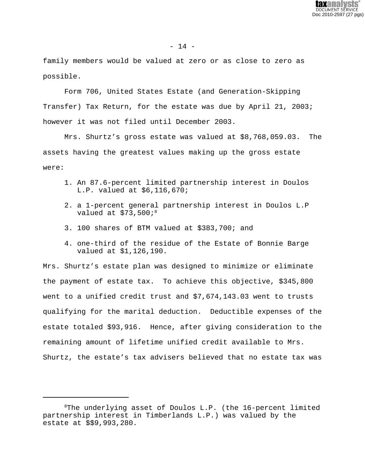

family members would be valued at zero or as close to zero as possible.

Form 706, United States Estate (and Generation-Skipping Transfer) Tax Return, for the estate was due by April 21, 2003; however it was not filed until December 2003.

Mrs. Shurtz's gross estate was valued at \$8,768,059.03. The assets having the greatest values making up the gross estate were:

- 1. An 87.6-percent limited partnership interest in Doulos L.P. valued at \$6,116,670;
- 2. a 1-percent general partnership interest in Doulos L.P valued at  $$73,500i$ <sup>8</sup>
- 3. 100 shares of BTM valued at \$383,700; and
- 4. one-third of the residue of the Estate of Bonnie Barge valued at \$1,126,190.

Mrs. Shurtz's estate plan was designed to minimize or eliminate the payment of estate tax. To achieve this objective, \$345,800 went to a unified credit trust and \$7,674,143.03 went to trusts qualifying for the marital deduction. Deductible expenses of the estate totaled \$93,916. Hence, after giving consideration to the remaining amount of lifetime unified credit available to Mrs. Shurtz, the estate's tax advisers believed that no estate tax was

 $8$ The underlying asset of Doulos L.P. (the 16-percent limited partnership interest in Timberlands L.P.) was valued by the estate at \$\$9,993,280.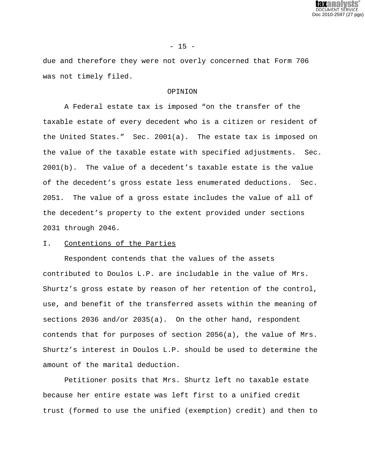

### $- 15 -$

due and therefore they were not overly concerned that Form 706 was not timely filed.

### OPINION

A Federal estate tax is imposed "on the transfer of the taxable estate of every decedent who is a citizen or resident of the United States." Sec. 2001(a). The estate tax is imposed on the value of the taxable estate with specified adjustments. Sec. 2001(b). The value of a decedent's taxable estate is the value of the decedent's gross estate less enumerated deductions. Sec. 2051. The value of a gross estate includes the value of all of the decedent's property to the extent provided under sections 2031 through 2046.

# I. Contentions of the Parties

Respondent contends that the values of the assets contributed to Doulos L.P. are includable in the value of Mrs. Shurtz's gross estate by reason of her retention of the control, use, and benefit of the transferred assets within the meaning of sections 2036 and/or 2035(a). On the other hand, respondent contends that for purposes of section 2056(a), the value of Mrs. Shurtz's interest in Doulos L.P. should be used to determine the amount of the marital deduction.

Petitioner posits that Mrs. Shurtz left no taxable estate because her entire estate was left first to a unified credit trust (formed to use the unified (exemption) credit) and then to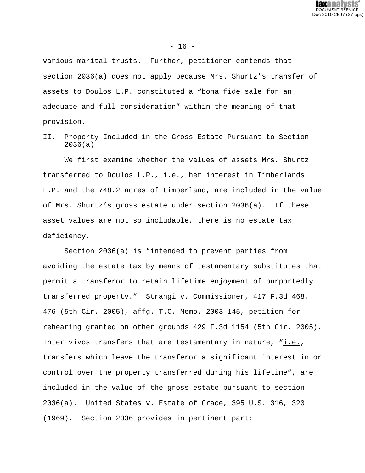

 $- 16 -$ 

various marital trusts. Further, petitioner contends that section 2036(a) does not apply because Mrs. Shurtz's transfer of assets to Doulos L.P. constituted a "bona fide sale for an adequate and full consideration" within the meaning of that provision.

# II. Property Included in the Gross Estate Pursuant to Section 2036(a)

We first examine whether the values of assets Mrs. Shurtz transferred to Doulos L.P., i.e., her interest in Timberlands L.P. and the 748.2 acres of timberland, are included in the value of Mrs. Shurtz's gross estate under section 2036(a). If these asset values are not so includable, there is no estate tax deficiency.

Section 2036(a) is "intended to prevent parties from avoiding the estate tax by means of testamentary substitutes that permit a transferor to retain lifetime enjoyment of purportedly transferred property." Strangi v. Commissioner, 417 F.3d 468, 476 (5th Cir. 2005), affg. T.C. Memo. 2003-145, petition for rehearing granted on other grounds 429 F.3d 1154 (5th Cir. 2005). Inter vivos transfers that are testamentary in nature, "i.e., transfers which leave the transferor a significant interest in or control over the property transferred during his lifetime", are included in the value of the gross estate pursuant to section 2036(a). United States v. Estate of Grace, 395 U.S. 316, 320 (1969). Section 2036 provides in pertinent part: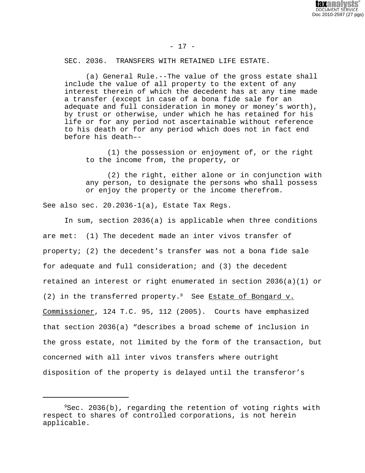

- 17 -

SEC. 2036. TRANSFERS WITH RETAINED LIFE ESTATE.

(a) General Rule.--The value of the gross estate shall include the value of all property to the extent of any interest therein of which the decedent has at any time made a transfer (except in case of a bona fide sale for an adequate and full consideration in money or money's worth), by trust or otherwise, under which he has retained for his life or for any period not ascertainable without reference to his death or for any period which does not in fact end before his death–-

(1) the possession or enjoyment of, or the right to the income from, the property, or

(2) the right, either alone or in conjunction with any person, to designate the persons who shall possess or enjoy the property or the income therefrom.

See also sec. 20.2036-1(a), Estate Tax Regs.

In sum, section 2036(a) is applicable when three conditions are met: (1) The decedent made an inter vivos transfer of property; (2) the decedent's transfer was not a bona fide sale for adequate and full consideration; and (3) the decedent retained an interest or right enumerated in section 2036(a)(1) or (2) in the transferred property. $9$  See Estate of Bongard v. Commissioner, 124 T.C. 95, 112 (2005). Courts have emphasized that section 2036(a) "describes a broad scheme of inclusion in the gross estate, not limited by the form of the transaction, but concerned with all inter vivos transfers where outright disposition of the property is delayed until the transferor's

 $9$ Sec. 2036(b), regarding the retention of voting rights with respect to shares of controlled corporations, is not herein applicable.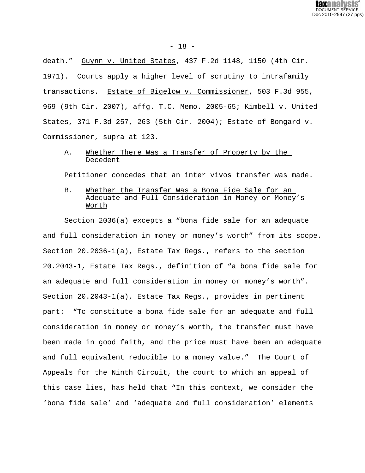

death." Guynn v. United States, 437 F.2d 1148, 1150 (4th Cir. 1971). Courts apply a higher level of scrutiny to intrafamily transactions. Estate of Bigelow v. Commissioner, 503 F.3d 955, 969 (9th Cir. 2007), affg. T.C. Memo. 2005-65; Kimbell v. United States, 371 F.3d 257, 263 (5th Cir. 2004); Estate of Bongard v. Commissioner, supra at 123.

# A. Whether There Was a Transfer of Property by the Decedent

Petitioner concedes that an inter vivos transfer was made.

B. Whether the Transfer Was a Bona Fide Sale for an Adequate and Full Consideration in Money or Money's Worth

Section 2036(a) excepts a "bona fide sale for an adequate and full consideration in money or money's worth" from its scope. Section 20.2036-1(a), Estate Tax Regs., refers to the section 20.2043-1, Estate Tax Regs., definition of "a bona fide sale for an adequate and full consideration in money or money's worth". Section 20.2043-1(a), Estate Tax Regs., provides in pertinent part: "To constitute a bona fide sale for an adequate and full consideration in money or money's worth, the transfer must have been made in good faith, and the price must have been an adequate and full equivalent reducible to a money value." The Court of Appeals for the Ninth Circuit, the court to which an appeal of this case lies, has held that "In this context, we consider the 'bona fide sale' and 'adequate and full consideration' elements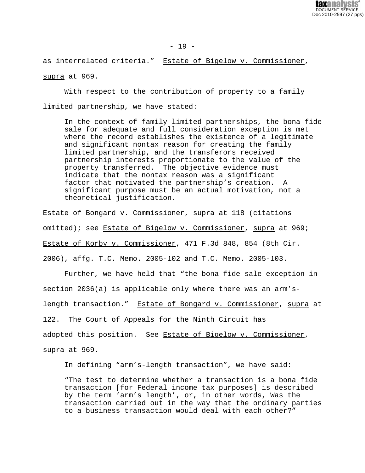

 $- 19 -$ 

as interrelated criteria." Estate of Bigelow v. Commissioner, supra at 969.

With respect to the contribution of property to a family limited partnership, we have stated:

In the context of family limited partnerships, the bona fide sale for adequate and full consideration exception is met where the record establishes the existence of a legitimate and significant nontax reason for creating the family limited partnership, and the transferors received partnership interests proportionate to the value of the property transferred. The objective evidence must indicate that the nontax reason was a significant factor that motivated the partnership's creation. A significant purpose must be an actual motivation, not a theoretical justification.

Estate of Bongard v. Commissioner, supra at 118 (citations omitted); see Estate of Bigelow v. Commissioner, supra at 969; Estate of Korby v. Commissioner, 471 F.3d 848, 854 (8th Cir. 2006), affg. T.C. Memo. 2005-102 and T.C. Memo. 2005-103.

Further, we have held that "the bona fide sale exception in section 2036(a) is applicable only where there was an arm'slength transaction." Estate of Bongard v. Commissioner, supra at 122. The Court of Appeals for the Ninth Circuit has adopted this position. See Estate of Bigelow v. Commissioner, supra at 969.

In defining "arm's-length transaction", we have said:

"The test to determine whether a transaction is a bona fide transaction [for Federal income tax purposes] is described by the term 'arm's length', or, in other words, Was the transaction carried out in the way that the ordinary parties to a business transaction would deal with each other?"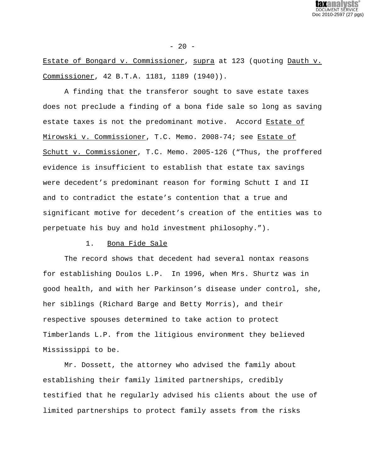

## $- 20 -$

Estate of Bongard v. Commissioner, supra at 123 (quoting Dauth v. Commissioner, 42 B.T.A. 1181, 1189 (1940)).

A finding that the transferor sought to save estate taxes does not preclude a finding of a bona fide sale so long as saving estate taxes is not the predominant motive. Accord Estate of Mirowski v. Commissioner, T.C. Memo. 2008-74; see Estate of Schutt v. Commissioner, T.C. Memo. 2005-126 ("Thus, the proffered evidence is insufficient to establish that estate tax savings were decedent's predominant reason for forming Schutt I and II and to contradict the estate's contention that a true and significant motive for decedent's creation of the entities was to perpetuate his buy and hold investment philosophy.").

## 1. Bona Fide Sale

The record shows that decedent had several nontax reasons for establishing Doulos L.P. In 1996, when Mrs. Shurtz was in good health, and with her Parkinson's disease under control, she, her siblings (Richard Barge and Betty Morris), and their respective spouses determined to take action to protect Timberlands L.P. from the litigious environment they believed Mississippi to be.

Mr. Dossett, the attorney who advised the family about establishing their family limited partnerships, credibly testified that he regularly advised his clients about the use of limited partnerships to protect family assets from the risks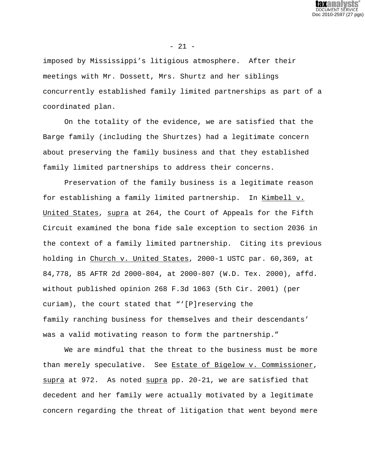

- 21 -

imposed by Mississippi's litigious atmosphere. After their meetings with Mr. Dossett, Mrs. Shurtz and her siblings concurrently established family limited partnerships as part of a coordinated plan.

On the totality of the evidence, we are satisfied that the Barge family (including the Shurtzes) had a legitimate concern about preserving the family business and that they established family limited partnerships to address their concerns.

Preservation of the family business is a legitimate reason for establishing a family limited partnership. In Kimbell v. United States, supra at 264, the Court of Appeals for the Fifth Circuit examined the bona fide sale exception to section 2036 in the context of a family limited partnership. Citing its previous holding in Church v. United States, 2000-1 USTC par. 60,369, at 84,778, 85 AFTR 2d 2000-804, at 2000-807 (W.D. Tex. 2000), affd. without published opinion 268 F.3d 1063 (5th Cir. 2001) (per curiam), the court stated that "'[P]reserving the family ranching business for themselves and their descendants' was a valid motivating reason to form the partnership."

We are mindful that the threat to the business must be more than merely speculative. See Estate of Bigelow v. Commissioner, supra at 972. As noted supra pp. 20-21, we are satisfied that decedent and her family were actually motivated by a legitimate concern regarding the threat of litigation that went beyond mere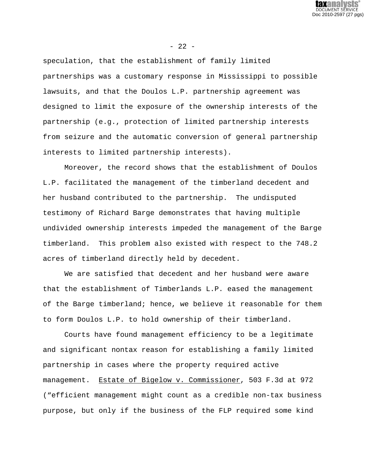

speculation, that the establishment of family limited partnerships was a customary response in Mississippi to possible lawsuits, and that the Doulos L.P. partnership agreement was designed to limit the exposure of the ownership interests of the partnership (e.g., protection of limited partnership interests from seizure and the automatic conversion of general partnership interests to limited partnership interests).

Moreover, the record shows that the establishment of Doulos L.P. facilitated the management of the timberland decedent and her husband contributed to the partnership. The undisputed testimony of Richard Barge demonstrates that having multiple undivided ownership interests impeded the management of the Barge timberland. This problem also existed with respect to the 748.2 acres of timberland directly held by decedent.

We are satisfied that decedent and her husband were aware that the establishment of Timberlands L.P. eased the management of the Barge timberland; hence, we believe it reasonable for them to form Doulos L.P. to hold ownership of their timberland.

Courts have found management efficiency to be a legitimate and significant nontax reason for establishing a family limited partnership in cases where the property required active management. Estate of Bigelow v. Commissioner, 503 F.3d at 972 ("efficient management might count as a credible non-tax business purpose, but only if the business of the FLP required some kind

# $- 22 -$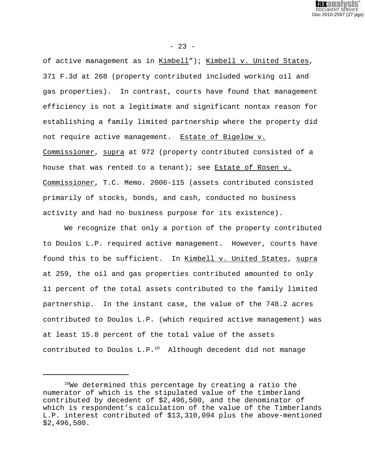

 $- 23 -$ 

of active management as in Kimbell"); Kimbell v. United States, 371 F.3d at 268 (property contributed included working oil and gas properties). In contrast, courts have found that management efficiency is not a legitimate and significant nontax reason for establishing a family limited partnership where the property did not require active management. Estate of Bigelow v. Commissioner, supra at 972 (property contributed consisted of a house that was rented to a tenant); see Estate of Rosen v. Commissioner, T.C. Memo. 2006-115 (assets contributed consisted primarily of stocks, bonds, and cash, conducted no business activity and had no business purpose for its existence).

We recognize that only a portion of the property contributed to Doulos L.P. required active management. However, courts have found this to be sufficient. In Kimbell v. United States, supra at 259, the oil and gas properties contributed amounted to only 11 percent of the total assets contributed to the family limited partnership. In the instant case, the value of the 748.2 acres contributed to Doulos L.P. (which required active management) was at least 15.8 percent of the total value of the assets contributed to Doulos  $L.P.^{10}$  Although decedent did not manage

<sup>10</sup>We determined this percentage by creating a ratio the numerator of which is the stipulated value of the timberland contributed by decedent of \$2,496,500, and the denominator of which is respondent's calculation of the value of the Timberlands L.P. interest contributed of \$13,310,094 plus the above-mentioned \$2,496,500.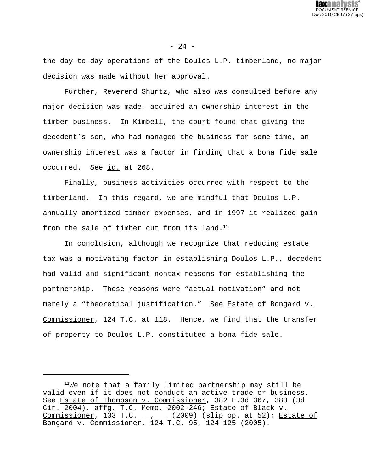

the day-to-day operations of the Doulos L.P. timberland, no major decision was made without her approval.

Further, Reverend Shurtz, who also was consulted before any major decision was made, acquired an ownership interest in the timber business. In Kimbell, the court found that giving the decedent's son, who had managed the business for some time, an ownership interest was a factor in finding that a bona fide sale occurred. See id. at 268.

Finally, business activities occurred with respect to the timberland. In this regard, we are mindful that Doulos L.P. annually amortized timber expenses, and in 1997 it realized gain from the sale of timber cut from its land. $^{11}$ 

In conclusion, although we recognize that reducing estate tax was a motivating factor in establishing Doulos L.P., decedent had valid and significant nontax reasons for establishing the partnership. These reasons were "actual motivation" and not merely a "theoretical justification." See Estate of Bongard v. Commissioner, 124 T.C. at 118. Hence, we find that the transfer of property to Doulos L.P. constituted a bona fide sale.

 $11$ We note that a family limited partnership may still be valid even if it does not conduct an active trade or business. See Estate of Thompson v. Commissioner, 382 F.3d 367, 383 (3d Cir. 2004), affg. T.C. Memo. 2002-246; Estate of Black v. Commissioner, 133 T.C.  $\_\_$ ,  $\_\_$  (2009) (slip op. at 52); Estate of Bongard v. Commissioner, 124 T.C. 95, 124-125 (2005).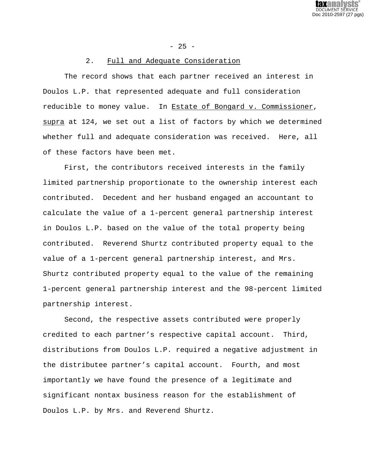

- 25 -

# 2. Full and Adequate Consideration

The record shows that each partner received an interest in Doulos L.P. that represented adequate and full consideration reducible to money value. In Estate of Bongard v. Commissioner, supra at 124, we set out a list of factors by which we determined whether full and adequate consideration was received. Here, all of these factors have been met.

First, the contributors received interests in the family limited partnership proportionate to the ownership interest each contributed. Decedent and her husband engaged an accountant to calculate the value of a 1-percent general partnership interest in Doulos L.P. based on the value of the total property being contributed. Reverend Shurtz contributed property equal to the value of a 1-percent general partnership interest, and Mrs. Shurtz contributed property equal to the value of the remaining 1-percent general partnership interest and the 98-percent limited partnership interest.

Second, the respective assets contributed were properly credited to each partner's respective capital account. Third, distributions from Doulos L.P. required a negative adjustment in the distributee partner's capital account. Fourth, and most importantly we have found the presence of a legitimate and significant nontax business reason for the establishment of Doulos L.P. by Mrs. and Reverend Shurtz.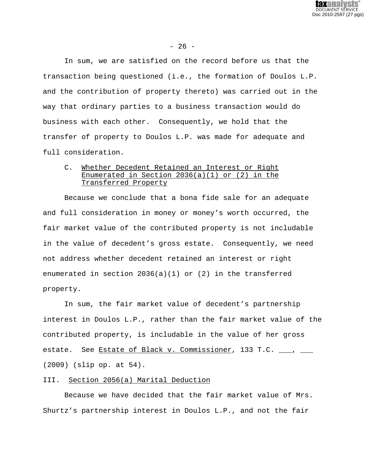

 $- 26 -$ 

In sum, we are satisfied on the record before us that the transaction being questioned (i.e., the formation of Doulos L.P. and the contribution of property thereto) was carried out in the way that ordinary parties to a business transaction would do business with each other. Consequently, we hold that the transfer of property to Doulos L.P. was made for adequate and full consideration.

# C. Whether Decedent Retained an Interest or Right Enumerated in Section  $2036(a)(1)$  or  $(2)$  in the Transferred Property

Because we conclude that a bona fide sale for an adequate and full consideration in money or money's worth occurred, the fair market value of the contributed property is not includable in the value of decedent's gross estate. Consequently, we need not address whether decedent retained an interest or right enumerated in section 2036(a)(1) or (2) in the transferred property.

In sum, the fair market value of decedent's partnership interest in Doulos L.P., rather than the fair market value of the contributed property, is includable in the value of her gross estate. See Estate of Black v. Commissioner, 133 T.C. \_\_\_, \_\_\_ (2009) (slip op. at 54).

## III. Section 2056(a) Marital Deduction

Because we have decided that the fair market value of Mrs. Shurtz's partnership interest in Doulos L.P., and not the fair